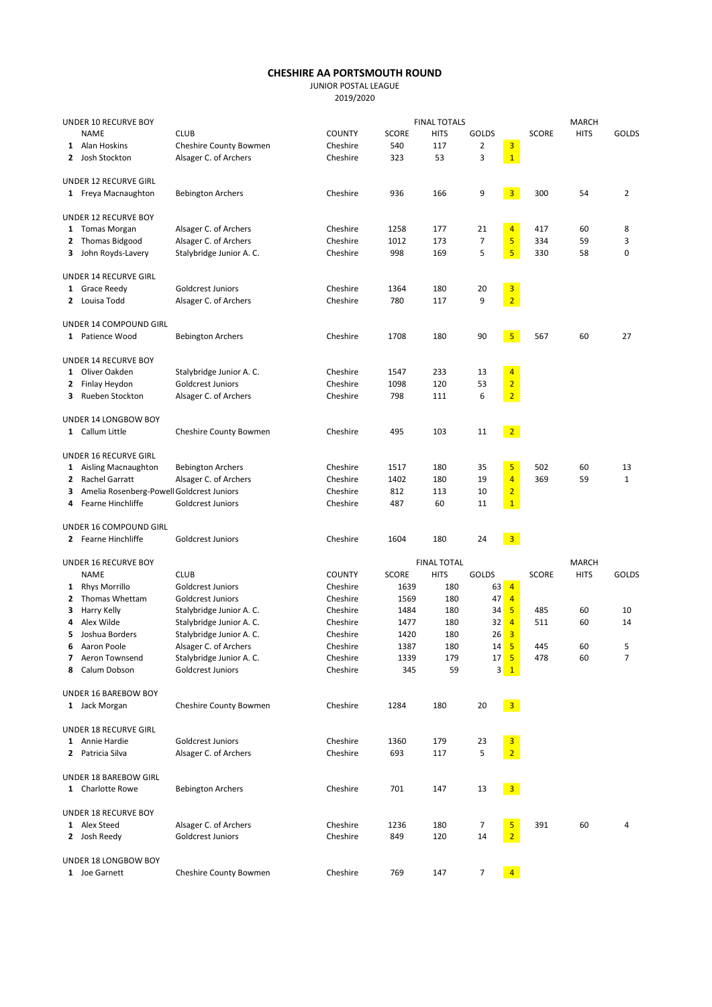## CHESHIRE AA PORTSMOUTH ROUND

JUNIOR POSTAL LEAGUE

| UNDER 10 RECURVE BOY |                                               |                          |               | <b>FINAL TOTALS</b> |                    |                |                                                       |              | <b>MARCH</b> |                |  |  |
|----------------------|-----------------------------------------------|--------------------------|---------------|---------------------|--------------------|----------------|-------------------------------------------------------|--------------|--------------|----------------|--|--|
|                      | <b>NAME</b>                                   | <b>CLUB</b>              | <b>COUNTY</b> | SCORE               | <b>HITS</b>        | <b>GOLDS</b>   |                                                       | <b>SCORE</b> | <b>HITS</b>  | <b>GOLDS</b>   |  |  |
|                      | 1 Alan Hoskins                                | Cheshire County Bowmen   | Cheshire      | 540                 | 117                | $\overline{2}$ | 3                                                     |              |              |                |  |  |
|                      | 2 Josh Stockton                               | Alsager C. of Archers    | Cheshire      | 323                 | 53                 | 3              | $\overline{1}$                                        |              |              |                |  |  |
|                      | <b>UNDER 12 RECURVE GIRL</b>                  |                          |               |                     |                    |                |                                                       |              |              |                |  |  |
|                      | 1 Freya Macnaughton                           | <b>Bebington Archers</b> | Cheshire      | 936                 | 166                | 9              | $\overline{\mathbf{3}}$                               | 300          | 54           | $\overline{2}$ |  |  |
|                      |                                               |                          |               |                     |                    |                |                                                       |              |              |                |  |  |
|                      | UNDER 12 RECURVE BOY                          |                          |               |                     |                    |                |                                                       |              |              |                |  |  |
|                      | 1 Tomas Morgan                                | Alsager C. of Archers    | Cheshire      | 1258                | 177                | 21             | $\overline{4}$                                        | 417          | 60           | 8              |  |  |
|                      | 2 Thomas Bidgood                              | Alsager C. of Archers    | Cheshire      | 1012                | 173                | 7              | 5                                                     | 334          | 59           | 3              |  |  |
| 3                    | John Royds-Lavery                             | Stalybridge Junior A. C. | Cheshire      | 998                 | 169                | 5              | $\overline{5}$                                        | 330          | 58           | 0              |  |  |
|                      | UNDER 14 RECURVE GIRL                         |                          |               |                     |                    |                |                                                       |              |              |                |  |  |
|                      | 1 Grace Reedy                                 | <b>Goldcrest Juniors</b> | Cheshire      | 1364                | 180                | 20             | $\overline{\mathbf{3}}$                               |              |              |                |  |  |
|                      | 2 Louisa Todd                                 | Alsager C. of Archers    | Cheshire      | 780                 | 117                | 9              | $\overline{2}$                                        |              |              |                |  |  |
|                      |                                               |                          |               |                     |                    |                |                                                       |              |              |                |  |  |
|                      | UNDER 14 COMPOUND GIRL                        |                          |               |                     |                    |                |                                                       |              |              |                |  |  |
|                      | 1 Patience Wood                               | <b>Bebington Archers</b> | Cheshire      | 1708                | 180                | 90             | 5 <sub>5</sub>                                        | 567          | 60           | 27             |  |  |
|                      | UNDER 14 RECURVE BOY                          |                          |               |                     |                    |                |                                                       |              |              |                |  |  |
|                      | 1 Oliver Oakden                               | Stalybridge Junior A. C. | Cheshire      | 1547                | 233                | 13             | $\overline{4}$                                        |              |              |                |  |  |
|                      | 2 Finlay Heydon                               | Goldcrest Juniors        | Cheshire      | 1098                | 120                | 53             | $\overline{2}$                                        |              |              |                |  |  |
| 3                    | Rueben Stockton                               | Alsager C. of Archers    | Cheshire      | 798                 | 111                | 6              | $\overline{2}$                                        |              |              |                |  |  |
|                      |                                               |                          |               |                     |                    |                |                                                       |              |              |                |  |  |
|                      | UNDER 14 LONGBOW BOY                          |                          |               |                     |                    |                |                                                       |              |              |                |  |  |
|                      | 1 Callum Little                               | Cheshire County Bowmen   | Cheshire      | 495                 | 103                | 11             | $\overline{2}$                                        |              |              |                |  |  |
|                      | UNDER 16 RECURVE GIRL                         |                          |               |                     |                    |                |                                                       |              |              |                |  |  |
|                      | 1 Aisling Macnaughton                         | <b>Bebington Archers</b> | Cheshire      | 1517                | 180                | 35             | $\overline{5}$                                        | 502          | 60           | 13             |  |  |
| 2                    | <b>Rachel Garratt</b>                         | Alsager C. of Archers    | Cheshire      | 1402                | 180                | 19             | $\overline{4}$                                        | 369          | 59           | $\mathbf{1}$   |  |  |
| з                    | Amelia Rosenberg-Powell Goldcrest Juniors     |                          | Cheshire      | 812                 | 113                | 10             | $\overline{2}$                                        |              |              |                |  |  |
| 4                    | Fearne Hinchliffe                             | <b>Goldcrest Juniors</b> | Cheshire      | 487                 | 60                 | 11             | $\mathbf{1}$                                          |              |              |                |  |  |
|                      |                                               |                          |               |                     |                    |                |                                                       |              |              |                |  |  |
|                      | UNDER 16 COMPOUND GIRL<br>2 Fearne Hinchliffe | Goldcrest Juniors        | Cheshire      | 1604                | 180                | 24             | 3 <sup>7</sup>                                        |              |              |                |  |  |
|                      |                                               |                          |               |                     |                    |                |                                                       |              |              |                |  |  |
|                      | UNDER 16 RECURVE BOY                          |                          |               |                     | <b>FINAL TOTAL</b> |                |                                                       |              | <b>MARCH</b> |                |  |  |
|                      | <b>NAME</b>                                   | <b>CLUB</b>              | <b>COUNTY</b> | <b>SCORE</b>        | <b>HITS</b>        | <b>GOLDS</b>   |                                                       | <b>SCORE</b> | <b>HITS</b>  | <b>GOLDS</b>   |  |  |
| $\mathbf{1}$         | <b>Rhys Morrillo</b>                          | <b>Goldcrest Juniors</b> | Cheshire      | 1639                | 180                | 63             | $\overline{4}$                                        |              |              |                |  |  |
| 2                    | Thomas Whettam                                | <b>Goldcrest Juniors</b> | Cheshire      | 1569                | 180                | 47             | $\overline{4}$                                        |              |              |                |  |  |
| з                    | Harry Kelly                                   | Stalybridge Junior A. C. | Cheshire      | 1484                | 180                | 34             | 5                                                     | 485          | 60           | 10             |  |  |
| 4                    | Alex Wilde                                    | Stalybridge Junior A. C. | Cheshire      | 1477                | 180                | 32             | $\overline{4}$                                        | 511          | 60           | 14             |  |  |
| 5                    | Joshua Borders                                | Stalybridge Junior A. C. | Cheshire      | 1420                | 180                | 26             | $\overline{\mathbf{3}}$                               |              |              |                |  |  |
|                      | 6 Aaron Poole                                 | Alsager C. of Archers    | Cheshire      | 1387                | 180                | 14             | $\sqrt{5}$                                            | 445          | 60           | 5              |  |  |
|                      | 7 Aeron Townsend                              | Stalybridge Junior A. C. | Cheshire      | 1339                | 179                |                | 17 <sup>5</sup>                                       | 478          | 60           | 7              |  |  |
|                      | 8 Calum Dobson                                | Goldcrest Juniors        | Cheshire      | 345                 | 59                 |                | $3 \mid 1$                                            |              |              |                |  |  |
|                      | UNDER 16 BAREBOW BOY                          |                          |               |                     |                    |                |                                                       |              |              |                |  |  |
|                      | 1 Jack Morgan                                 | Cheshire County Bowmen   | Cheshire      | 1284                | 180                | 20             | $\begin{array}{ c c } \hline 3 \\ \hline \end{array}$ |              |              |                |  |  |
|                      |                                               |                          |               |                     |                    |                |                                                       |              |              |                |  |  |
|                      | UNDER 18 RECURVE GIRL                         |                          |               |                     |                    |                |                                                       |              |              |                |  |  |
|                      | 1 Annie Hardie                                | <b>Goldcrest Juniors</b> | Cheshire      | 1360                | 179                | 23             | $\overline{\mathbf{3}}$                               |              |              |                |  |  |
|                      | 2 Patricia Silva                              | Alsager C. of Archers    | Cheshire      | 693                 | 117                | 5              | $\overline{2}$                                        |              |              |                |  |  |
|                      | UNDER 18 BAREBOW GIRL                         |                          |               |                     |                    |                |                                                       |              |              |                |  |  |
|                      | 1 Charlotte Rowe                              | <b>Bebington Archers</b> | Cheshire      | 701                 | 147                | 13             | $\begin{array}{ c c } \hline 3 \\ \hline \end{array}$ |              |              |                |  |  |
|                      |                                               |                          |               |                     |                    |                |                                                       |              |              |                |  |  |
|                      | UNDER 18 RECURVE BOY<br>1 Alex Steed          | Alsager C. of Archers    | Cheshire      | 1236                | 180                | 7              | 5                                                     | 391          | 60           | 4              |  |  |
|                      | 2 Josh Reedy                                  | Goldcrest Juniors        | Cheshire      | 849                 | 120                | 14             | $\overline{2}$                                        |              |              |                |  |  |
|                      |                                               |                          |               |                     |                    |                |                                                       |              |              |                |  |  |
|                      | UNDER 18 LONGBOW BOY                          |                          |               |                     |                    |                |                                                       |              |              |                |  |  |
|                      | 1 Joe Garnett                                 | Cheshire County Bowmen   | Cheshire      | 769                 | 147                | 7              | $\overline{4}$                                        |              |              |                |  |  |